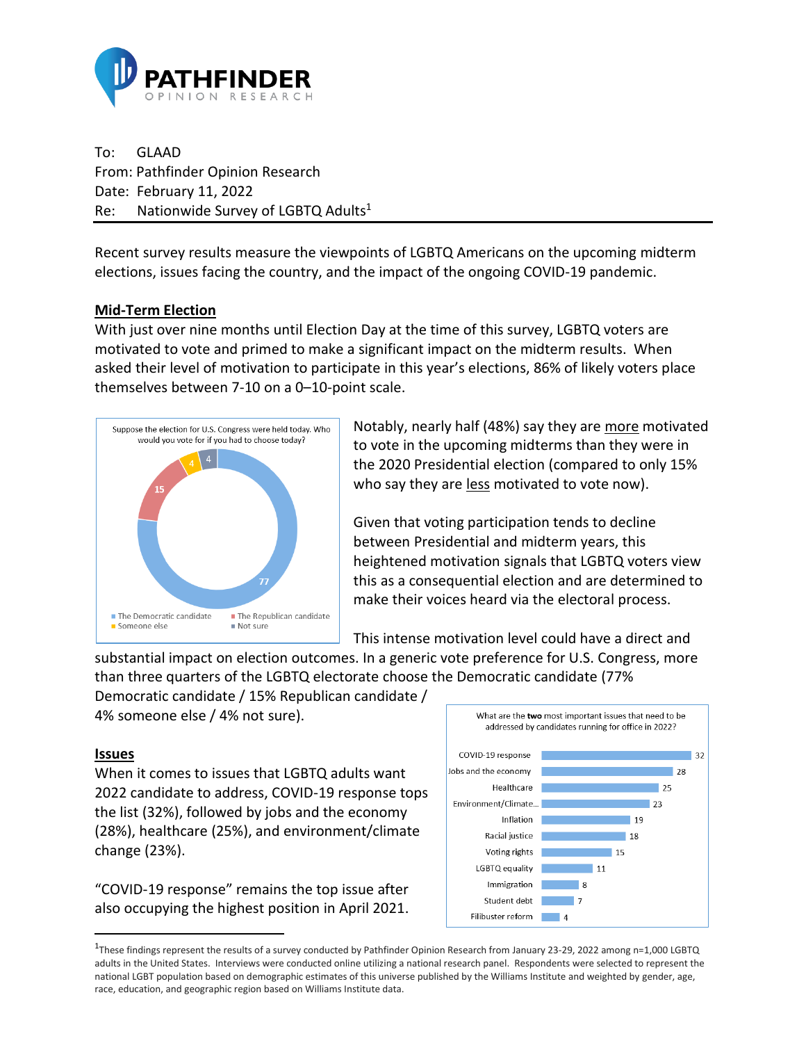

To: GLAAD From: Pathfinder Opinion Research Date: February 11, 2022 Re: Nationwide Survey of LGBTQ Adults<sup>1</sup>

Recent survey results measure the viewpoints of LGBTQ Americans on the upcoming midterm elections, issues facing the country, and the impact of the ongoing COVID-19 pandemic.

## **Mid-Term Election**

With just over nine months until Election Day at the time of this survey, LGBTQ voters are motivated to vote and primed to make a significant impact on the midterm results. When asked their level of motivation to participate in this year's elections, 86% of likely voters place themselves between 7-10 on a 0–10-point scale.



Notably, nearly half (48%) say they are more motivated to vote in the upcoming midterms than they were in the 2020 Presidential election (compared to only 15% who say they are less motivated to vote now).

Given that voting participation tends to decline between Presidential and midterm years, this heightened motivation signals that LGBTQ voters view this as a consequential election and are determined to make their voices heard via the electoral process.

This intense motivation level could have a direct and

substantial impact on election outcomes. In a generic vote preference for U.S. Congress, more than three quarters of the LGBTQ electorate choose the Democratic candidate (77%

Democratic candidate / 15% Republican candidate / 4% someone else / 4% not sure).

## **Issues**

When it comes to issues that LGBTQ adults want 2022 candidate to address, COVID-19 response tops the list (32%), followed by jobs and the economy (28%), healthcare (25%), and environment/climate change (23%).

"COVID-19 response" remains the top issue after also occupying the highest position in April 2021.



<sup>1</sup> These findings represent the results of a survey conducted by Pathfinder Opinion Research from January 23-29, 2022 among n=1,000 LGBTQ adults in the United States. Interviews were conducted online utilizing a national research panel. Respondents were selected to represent the national LGBT population based on demographic estimates of this universe published by the Williams Institute and weighted by gender, age, race, education, and geographic region based on Williams Institute data.